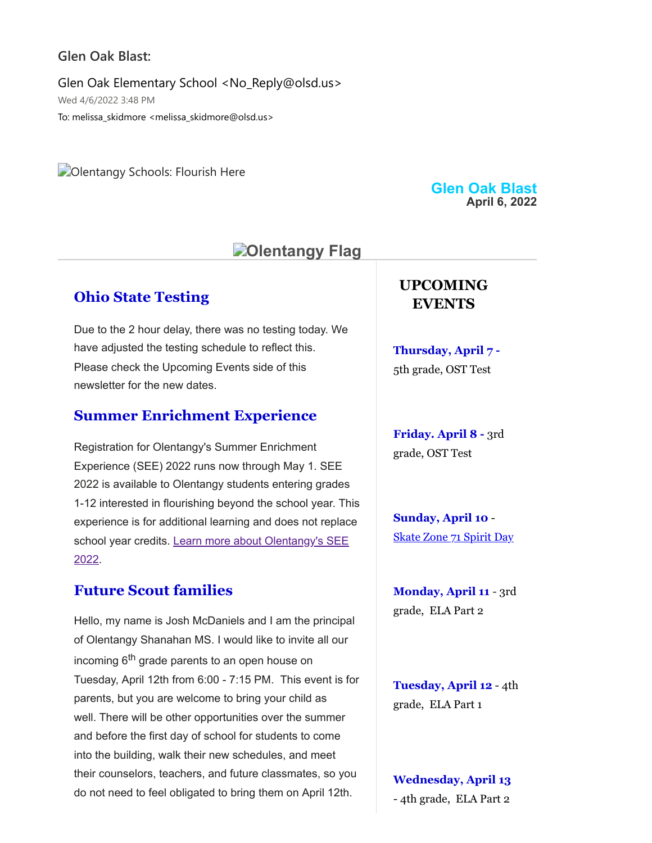#### **Glen Oak Blast:**

Glen Oak Elementary School <No\_Reply@olsd.us> Wed 4/6/2022 3:48 PM To: melissa\_skidmore <melissa\_skidmore@olsd.us>

**Colentangy Schools: Flourish Here** 

# **Dientangy Flag**

## **Ohio State Testing**

Due to the 2 hour delay, there was no testing today. We have adjusted the testing schedule to reflect this. Please check the Upcoming Events side of this newsletter for the new dates.

#### **Summer Enrichment Experience**

Registration for Olentangy's Summer Enrichment Experience (SEE) 2022 runs now through May 1. SEE 2022 is available to Olentangy students entering grades 1-12 interested in flourishing beyond the school year. This experience is for additional learning and does not replace school year credits. [Learn more about Olentangy's SEE](https://www.olentangy.k12.oh.us/fs/resource-manager/view/350ed8dd-9989-4797-a933-c6035b821c63) 2022.

#### **Future Scout families**

Hello, my name is Josh McDaniels and I am the principal of Olentangy Shanahan MS. I would like to invite all our incoming 6<sup>th</sup> grade parents to an open house on Tuesday, April 12th from 6:00 - 7:15 PM. This event is for parents, but you are welcome to bring your child as well. There will be other opportunities over the summer and before the first day of school for students to come into the building, walk their new schedules, and meet their counselors, teachers, and future classmates, so you do not need to feel obligated to bring them on April 12th.

**Glen Oak Blast April 6, 2022**

## **UPCOMING EVENTS**

**Thursday, April 7 -** 5th grade, OST Test

**Friday. April 8 -** 3rd grade, OST Test

**Sunday, April 10** - [Skate Zone 71 Spirit Day](https://drive.google.com/file/d/1I0NeUu8TfeqB8hMgyvycjfSImRLTiLuB/view?usp=sharing)

**Monday, April 11** - 3rd grade, ELA Part 2

**Tuesday, April 12** - 4th grade, ELA Part 1

**Wednesday, April 13** - 4th grade, ELA Part 2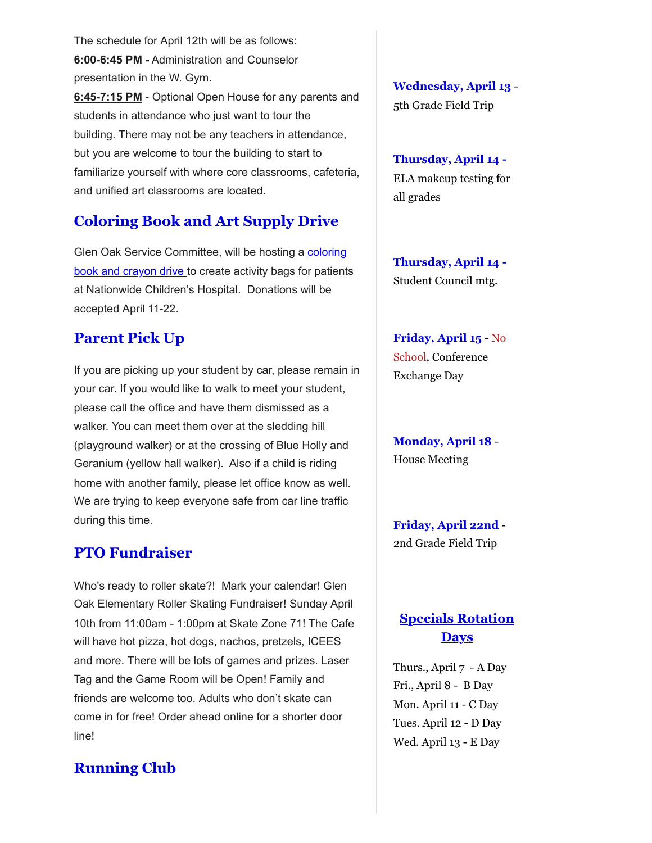The schedule for April 12th will be as follows: **6:00-6:45 PM -** Administration and Counselor presentation in the W. Gym.

**6:45-7:15 PM** - Optional Open House for any parents and students in attendance who just want to tour the building. There may not be any teachers in attendance, but you are welcome to tour the building to start to familiarize yourself with where core classrooms, cafeteria, and unified art classrooms are located.

# **Coloring Book and Art Supply Drive**

Glen Oak Service Committee, will be hosting a coloring [book and crayon drive to create activity bags for patient](https://docs.google.com/presentation/d/1HVEPPJnO6rt3mXCH0Q4Jh1TMRp-brHTrV7fV6VKm2_g/edit?usp=sharing)s at Nationwide Children's Hospital. Donations will be accepted April 11-22.

# **Parent Pick Up**

If you are picking up your student by car, please remain in your car. If you would like to walk to meet your student, please call the office and have them dismissed as a walker. You can meet them over at the sledding hill (playground walker) or at the crossing of Blue Holly and Geranium (yellow hall walker). Also if a child is riding home with another family, please let office know as well. We are trying to keep everyone safe from car line traffic during this time.

## **PTO Fundraiser**

Who's ready to roller skate?! Mark your calendar! Glen Oak Elementary Roller Skating Fundraiser! Sunday April 10th from 11:00am - 1:00pm at Skate Zone 71! The Cafe will have hot pizza, hot dogs, nachos, pretzels, ICEES and more. There will be lots of games and prizes. Laser Tag and the Game Room will be Open! Family and friends are welcome too. Adults who don't skate can come in for free! Order ahead online for a shorter door line!

# **Running Club**

**Wednesday, April 13** - 5th Grade Field Trip

**Thursday, April 14 -** ELA makeup testing for all grades

**Thursday, April 14 -** Student Council mtg.

**Friday, April 15** - No School, Conference Exchange Day

**Monday, April 18** - House Meeting

**Friday, April 22nd** - 2nd Grade Field Trip

# **Specials Rotation Days**

Thurs., April 7 - A Day Fri., April 8 - B Day Mon. April 11 - C Day Tues. April 12 - D Day Wed. April 13 - E Day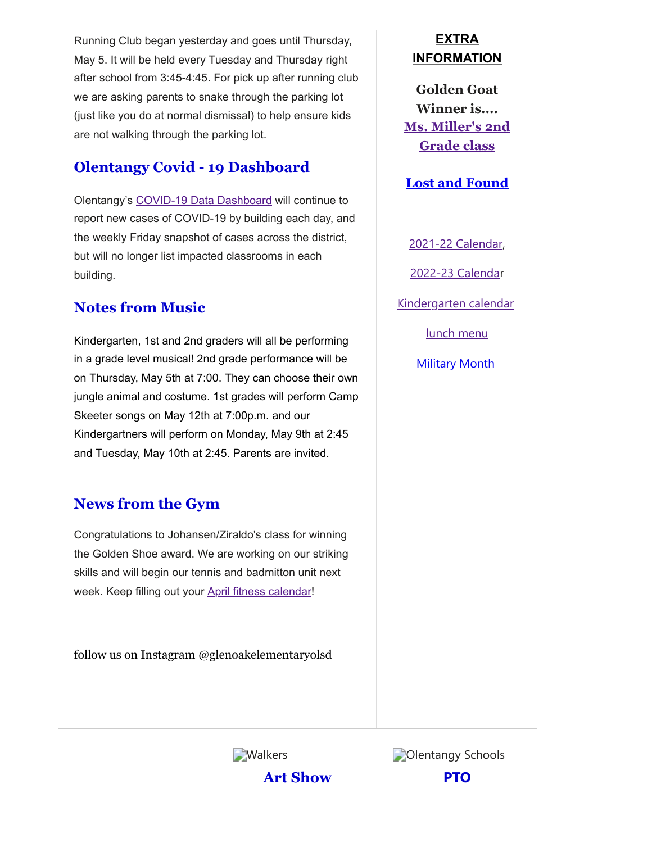Running Club began yesterday and goes until Thursday, May 5. It will be held every Tuesday and Thursday right after school from 3:45-4:45. For pick up after running club we are asking parents to snake through the parking lot (just like you do at normal dismissal) to help ensure kids are not walking through the parking lot.

# **Olentangy Covid - 19 Dashboard**

Olentangy's [COVID-19 Data Dashboard](https://www.olentangy.k12.oh.us/about/health-and-prevention-guidance-for-the-2021-2022-school-year/covid-19-data-dashboard) will continue to report new cases of COVID-19 by building each day, and the weekly Friday snapshot of cases across the district, but will no longer list impacted classrooms in each building.

# **Notes from Music**

Kindergarten, 1st and 2nd graders will all be performing in a grade level musical! 2nd grade performance will be on Thursday, May 5th at 7:00. They can choose their own jungle animal and costume. 1st grades will perform Camp Skeeter songs on May 12th at 7:00p.m. and our Kindergartners will perform on Monday, May 9th at 2:45 and Tuesday, May 10th at 2:45. Parents are invited.

# **News from the Gym**

Congratulations to Johansen/Ziraldo's class for winning the Golden Shoe award. We are working on our striking skills and will begin our tennis and badmitton unit next week. Keep filling out your [April fitness calendar](https://docs.google.com/document/d/1E23I68HJjSeFi14sCiVK8oG8n_stbKGK/edit)!

follow us on Instagram @glenoakelementaryolsd

# **EXTRA INFORMATION**

**Golden Goat Winner is.... [Ms. Miller's 2nd](https://docs.google.com/document/d/1DGEtQL0Qzd8TUXE4U-YVkNNrv5VgslqtV6LJh_k3c9U/edit?usp=sharing) Grade class**

**[Lost and Found](https://docs.google.com/document/d/1VWPGGOO_Agf3DvQNH9-uKqyBwRa3LL1LQLfex7FdIJ4/edit?usp=sharing)**

[2021-22 Calendar](https://resources.finalsite.net/images/v1623338803/olentangyk12ohus/sz9j8nno6oh20v3wyps6/2021-2022DistrictCalendarApproved4-23-20_1updated.pdf), [2022-23 Calenda](https://resources.finalsite.net/images/v1620050549/olentangyk12ohus/qd6qvmokm7y6lk1e4riu/2022-2023OLSDistrictCalendar.pdf)r [Kindergarten calendar](https://resources.finalsite.net/images/v1610728354/olentangyk12ohus/suvljtjbbcrvefp8t0eg/Kindergarten2021-2022Calendar-FINAL11321.pdf) [lunch menu](https://www.schoolnutritionandfitness.com/static/greenmenus/1605120015275702/2022/2022/520256-2021-2022_Cycle_Menu_updated_11_-_18-_21_effective_December.pdf)

**[Military](https://drive.google.com/file/d/1InCkX4SOiv63oLLFtOWroqDGROeokNnM/view?usp=sharing) Month** 

**Walkers** 

**Art Show**



**PTO**